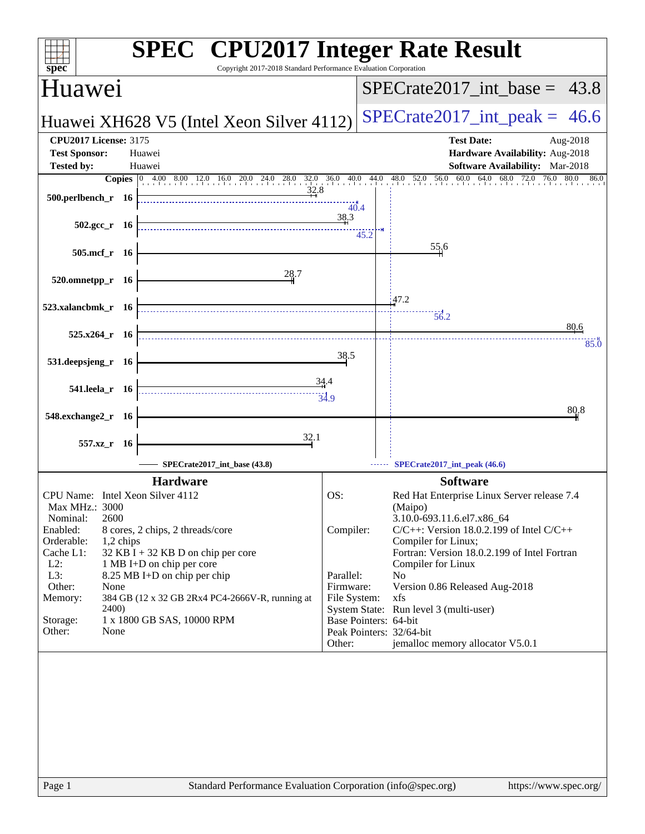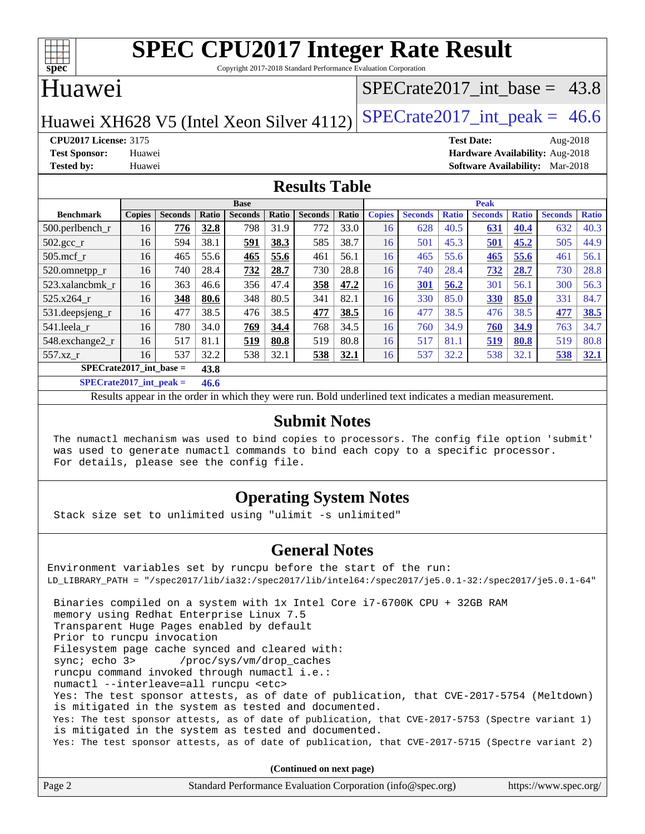

Copyright 2017-2018 Standard Performance Evaluation Corporation

## Huawei

## SPECrate2017 int\_base =  $43.8$

Huawei XH628 V5 (Intel Xeon Silver 4112) SPECrate  $2017$ \_int\_peak = 46.6

**[CPU2017 License:](http://www.spec.org/auto/cpu2017/Docs/result-fields.html#CPU2017License)** 3175 **[Test Date:](http://www.spec.org/auto/cpu2017/Docs/result-fields.html#TestDate)** Aug-2018 **[Test Sponsor:](http://www.spec.org/auto/cpu2017/Docs/result-fields.html#TestSponsor)** Huawei **[Hardware Availability:](http://www.spec.org/auto/cpu2017/Docs/result-fields.html#HardwareAvailability)** Aug-2018 **[Tested by:](http://www.spec.org/auto/cpu2017/Docs/result-fields.html#Testedby)** Huawei **[Software Availability:](http://www.spec.org/auto/cpu2017/Docs/result-fields.html#SoftwareAvailability)** Mar-2018

#### **[Results Table](http://www.spec.org/auto/cpu2017/Docs/result-fields.html#ResultsTable)**

|                                                  | <b>Base</b>   |                |       |                |              |                | <b>Peak</b> |               |                |              |                |              |                |              |
|--------------------------------------------------|---------------|----------------|-------|----------------|--------------|----------------|-------------|---------------|----------------|--------------|----------------|--------------|----------------|--------------|
| <b>Benchmark</b>                                 | <b>Copies</b> | <b>Seconds</b> | Ratio | <b>Seconds</b> | <b>Ratio</b> | <b>Seconds</b> | Ratio       | <b>Copies</b> | <b>Seconds</b> | <b>Ratio</b> | <b>Seconds</b> | <b>Ratio</b> | <b>Seconds</b> | <b>Ratio</b> |
| $500.$ perlbench_r                               | 16            | 776            | 32.8  | 798            | 31.9         | 772            | 33.0        | 16            | 628            | 40.5         | 631            | 40.4         | 632            | 40.3         |
| $502.\text{gcc\_r}$                              | 16            | 594            | 38.1  | 591            | 38.3         | 585            | 38.7        | 16            | 501            | 45.3         | 501            | 45.2         | 505            | 44.9         |
| $505$ .mcf r                                     | 16            | 465            | 55.6  | 465            | 55.6         | 461            | 56.1        | 16            | 465            | 55.6         | 465            | 55.6         | 461            | 56.1         |
| 520.omnetpp_r                                    | 16            | 740            | 28.4  | 732            | 28.7         | 730            | 28.8        | 16            | 740            | 28.4         | 732            | 28.7         | 730            | 28.8         |
| 523.xalancbmk r                                  | 16            | 363            | 46.6  | 356            | 47.4         | 358            | 47.2        | 16            | 301            | 56.2         | 301            | 56.1         | 300            | 56.3         |
| 525.x264 r                                       | 16            | 348            | 80.6  | 348            | 80.5         | 341            | 82.1        | 16            | 330            | 85.0         | 330            | 85.0         | 331            | 84.7         |
| 531.deepsjeng_r                                  | 16            | 477            | 38.5  | 476            | 38.5         | 477            | 38.5        | 16            | 477            | 38.5         | 476            | 38.5         | 477            | 38.5         |
| 541.leela r                                      | 16            | 780            | 34.0  | 769            | 34.4         | 768            | 34.5        | 16            | 760            | 34.9         | 760            | 34.9         | 763            | 34.7         |
| 548.exchange2 r                                  | 16            | 517            | 81.1  | 519            | 80.8         | 519            | 80.8        | 16            | 517            | 81.1         | 519            | 80.8         | 519            | 80.8         |
| 557.xz r                                         | 16            | 537            | 32.2  | 538            | 32.1         | 538            | 32.1        | 16            | 537            | 32.2         | 538            | 32.1         | 538            | 32.1         |
| $SPECrate2017$ int base =<br>43.8                |               |                |       |                |              |                |             |               |                |              |                |              |                |              |
| $\sim$ $\sim$ $\sim$ $\sim$ $\sim$ $\sim$ $\sim$ |               |                | .     |                |              |                |             |               |                |              |                |              |                |              |

**[SPECrate2017\\_int\\_peak =](http://www.spec.org/auto/cpu2017/Docs/result-fields.html#SPECrate2017intpeak) 46.6**

Results appear in the [order in which they were run](http://www.spec.org/auto/cpu2017/Docs/result-fields.html#RunOrder). Bold underlined text [indicates a median measurement](http://www.spec.org/auto/cpu2017/Docs/result-fields.html#Median).

#### **[Submit Notes](http://www.spec.org/auto/cpu2017/Docs/result-fields.html#SubmitNotes)**

 The numactl mechanism was used to bind copies to processors. The config file option 'submit' was used to generate numactl commands to bind each copy to a specific processor. For details, please see the config file.

## **[Operating System Notes](http://www.spec.org/auto/cpu2017/Docs/result-fields.html#OperatingSystemNotes)**

Stack size set to unlimited using "ulimit -s unlimited"

### **[General Notes](http://www.spec.org/auto/cpu2017/Docs/result-fields.html#GeneralNotes)**

Environment variables set by runcpu before the start of the run: LD\_LIBRARY\_PATH = "/spec2017/lib/ia32:/spec2017/lib/intel64:/spec2017/je5.0.1-32:/spec2017/je5.0.1-64" Binaries compiled on a system with 1x Intel Core i7-6700K CPU + 32GB RAM memory using Redhat Enterprise Linux 7.5 Transparent Huge Pages enabled by default Prior to runcpu invocation Filesystem page cache synced and cleared with: sync; echo 3> /proc/sys/vm/drop\_caches runcpu command invoked through numactl i.e.: numactl --interleave=all runcpu <etc> Yes: The test sponsor attests, as of date of publication, that CVE-2017-5754 (Meltdown) is mitigated in the system as tested and documented. Yes: The test sponsor attests, as of date of publication, that CVE-2017-5753 (Spectre variant 1) is mitigated in the system as tested and documented. Yes: The test sponsor attests, as of date of publication, that CVE-2017-5715 (Spectre variant 2)

**(Continued on next page)**

| Page 2 | Standard Performance Evaluation Corporation (info@spec.org) | https://www.spec.org/ |
|--------|-------------------------------------------------------------|-----------------------|
|--------|-------------------------------------------------------------|-----------------------|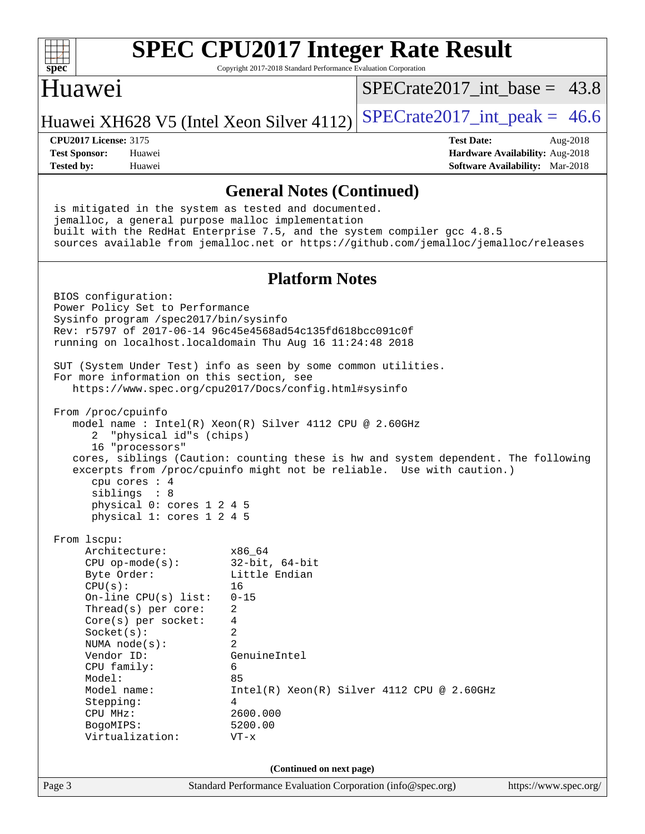| $spec^*$                                                                                                                                                                                                                                                                                                                                                                                     | Copyright 2017-2018 Standard Performance Evaluation Corporation                                                                                                       | <b>SPEC CPU2017 Integer Rate Result</b>    |                                                                                       |
|----------------------------------------------------------------------------------------------------------------------------------------------------------------------------------------------------------------------------------------------------------------------------------------------------------------------------------------------------------------------------------------------|-----------------------------------------------------------------------------------------------------------------------------------------------------------------------|--------------------------------------------|---------------------------------------------------------------------------------------|
| Huawei                                                                                                                                                                                                                                                                                                                                                                                       |                                                                                                                                                                       | $SPECTate2017$ int base = 43.8             |                                                                                       |
| Huawei XH628 V5 (Intel Xeon Silver 4112)                                                                                                                                                                                                                                                                                                                                                     |                                                                                                                                                                       | $SPECrate2017\_int\_peak = 46.6$           |                                                                                       |
| <b>CPU2017 License: 3175</b><br><b>Test Sponsor:</b><br>Huawei<br><b>Tested by:</b><br>Huawei                                                                                                                                                                                                                                                                                                |                                                                                                                                                                       | <b>Test Date:</b>                          | Aug-2018<br>Hardware Availability: Aug-2018<br><b>Software Availability:</b> Mar-2018 |
|                                                                                                                                                                                                                                                                                                                                                                                              | <b>General Notes (Continued)</b>                                                                                                                                      |                                            |                                                                                       |
| is mitigated in the system as tested and documented.<br>jemalloc, a general purpose malloc implementation<br>built with the RedHat Enterprise 7.5, and the system compiler gcc 4.8.5<br>sources available from jemalloc.net or https://github.com/jemalloc/jemalloc/releases                                                                                                                 |                                                                                                                                                                       |                                            |                                                                                       |
|                                                                                                                                                                                                                                                                                                                                                                                              | <b>Platform Notes</b>                                                                                                                                                 |                                            |                                                                                       |
| BIOS configuration:<br>Power Policy Set to Performance<br>Sysinfo program /spec2017/bin/sysinfo<br>Rev: r5797 of 2017-06-14 96c45e4568ad54c135fd618bcc091c0f<br>running on localhost.localdomain Thu Aug 16 11:24:48 2018                                                                                                                                                                    |                                                                                                                                                                       |                                            |                                                                                       |
| SUT (System Under Test) info as seen by some common utilities.<br>For more information on this section, see<br>https://www.spec.org/cpu2017/Docs/config.html#sysinfo                                                                                                                                                                                                                         |                                                                                                                                                                       |                                            |                                                                                       |
| From /proc/cpuinfo<br>model name : Intel(R) Xeon(R) Silver 4112 CPU @ 2.60GHz<br>"physical id"s (chips)<br>2<br>16 "processors"<br>cores, siblings (Caution: counting these is hw and system dependent. The following<br>excerpts from /proc/cpuinfo might not be reliable. Use with caution.)<br>cpu cores : 4<br>siblings<br>: 8<br>physical 0: cores 1 2 4 5<br>physical 1: cores 1 2 4 5 |                                                                                                                                                                       |                                            |                                                                                       |
| From 1scpu:<br>Architecture:<br>$CPU$ op-mode( $s$ ):<br>Byte Order:<br>CPU(s):<br>On-line CPU(s) list:<br>Thread( $s$ ) per core:<br>Core(s) per socket:<br>Socket(s):<br>NUMA $node(s)$ :<br>Vendor ID:<br>CPU family:<br>Model:<br>Model name:<br>Stepping:<br>CPU MHz:<br>BogoMIPS:<br>Virtualization:                                                                                   | x86_64<br>$32$ -bit, $64$ -bit<br>Little Endian<br>16<br>$0 - 15$<br>2<br>4<br>2<br>$\overline{2}$<br>GenuineIntel<br>6<br>85<br>4<br>2600.000<br>5200.00<br>$VT - x$ | Intel(R) Xeon(R) Silver 4112 CPU @ 2.60GHz |                                                                                       |
|                                                                                                                                                                                                                                                                                                                                                                                              | (Continued on next page)                                                                                                                                              |                                            |                                                                                       |
| Page 3                                                                                                                                                                                                                                                                                                                                                                                       | Standard Performance Evaluation Corporation (info@spec.org)                                                                                                           |                                            | https://www.spec.org/                                                                 |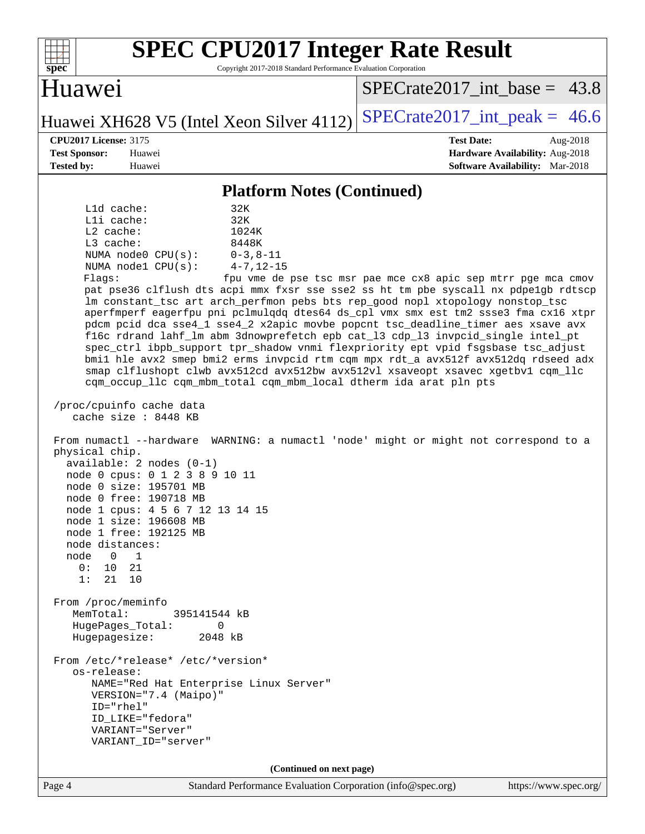| <b>SPEC CPU2017 Integer Rate Result</b><br>Copyright 2017-2018 Standard Performance Evaluation Corporation<br>spec <sup>®</sup>                                                                                                                                                                                                                                                                                                                                                                                                                                                                                                                                                                                                                                                                                                                                                                                                                                                                                                                                                                                                                                                                                                                                                                                                                                                                                                                                                                                                                                                                                                                                                                                                       |                                                                                                     |
|---------------------------------------------------------------------------------------------------------------------------------------------------------------------------------------------------------------------------------------------------------------------------------------------------------------------------------------------------------------------------------------------------------------------------------------------------------------------------------------------------------------------------------------------------------------------------------------------------------------------------------------------------------------------------------------------------------------------------------------------------------------------------------------------------------------------------------------------------------------------------------------------------------------------------------------------------------------------------------------------------------------------------------------------------------------------------------------------------------------------------------------------------------------------------------------------------------------------------------------------------------------------------------------------------------------------------------------------------------------------------------------------------------------------------------------------------------------------------------------------------------------------------------------------------------------------------------------------------------------------------------------------------------------------------------------------------------------------------------------|-----------------------------------------------------------------------------------------------------|
| Huawei                                                                                                                                                                                                                                                                                                                                                                                                                                                                                                                                                                                                                                                                                                                                                                                                                                                                                                                                                                                                                                                                                                                                                                                                                                                                                                                                                                                                                                                                                                                                                                                                                                                                                                                                | $SPECrate2017$ int base = 43.8                                                                      |
| Huawei XH628 V5 (Intel Xeon Silver 4112)                                                                                                                                                                                                                                                                                                                                                                                                                                                                                                                                                                                                                                                                                                                                                                                                                                                                                                                                                                                                                                                                                                                                                                                                                                                                                                                                                                                                                                                                                                                                                                                                                                                                                              | $SPECrate2017\_int\_peak = 46.6$                                                                    |
| <b>CPU2017 License: 3175</b><br><b>Test Sponsor:</b><br>Huawei<br>Tested by:<br>Huawei                                                                                                                                                                                                                                                                                                                                                                                                                                                                                                                                                                                                                                                                                                                                                                                                                                                                                                                                                                                                                                                                                                                                                                                                                                                                                                                                                                                                                                                                                                                                                                                                                                                | <b>Test Date:</b><br>Aug-2018<br>Hardware Availability: Aug-2018<br>Software Availability: Mar-2018 |
| <b>Platform Notes (Continued)</b>                                                                                                                                                                                                                                                                                                                                                                                                                                                                                                                                                                                                                                                                                                                                                                                                                                                                                                                                                                                                                                                                                                                                                                                                                                                                                                                                                                                                                                                                                                                                                                                                                                                                                                     |                                                                                                     |
| L1d cache:<br>32K<br>Lli cache:<br>32K<br>$L2$ cache:<br>1024K<br>L3 cache:<br>8448K<br>NUMA node0 CPU(s):<br>$0 - 3, 8 - 11$<br>$4 - 7, 12 - 15$<br>NUMA nodel CPU(s):<br>Flags:<br>pat pse36 clflush dts acpi mmx fxsr sse sse2 ss ht tm pbe syscall nx pdpelgb rdtscp<br>lm constant_tsc art arch_perfmon pebs bts rep_good nopl xtopology nonstop_tsc<br>aperfmperf eagerfpu pni pclmulqdq dtes64 ds_cpl vmx smx est tm2 ssse3 fma cx16 xtpr<br>pdcm pcid dca sse4_1 sse4_2 x2apic movbe popcnt tsc_deadline_timer aes xsave avx<br>f16c rdrand lahf_lm abm 3dnowprefetch epb cat_13 cdp_13 invpcid_single intel_pt<br>spec_ctrl ibpb_support tpr_shadow vnmi flexpriority ept vpid fsgsbase tsc_adjust<br>bmil hle avx2 smep bmi2 erms invpcid rtm cqm mpx rdt_a avx512f avx512dq rdseed adx<br>smap clflushopt clwb avx512cd avx512bw avx512vl xsaveopt xsavec xgetbvl cqm_llc<br>cqm_occup_llc cqm_mbm_total cqm_mbm_local dtherm ida arat pln pts<br>/proc/cpuinfo cache data<br>cache size : 8448 KB<br>From numactl --hardware WARNING: a numactl 'node' might or might not correspond to a<br>physical chip.<br>$available: 2 nodes (0-1)$<br>node 0 cpus: 0 1 2 3 8 9 10 11<br>node 0 size: 195701 MB<br>node 0 free: 190718 MB<br>node 1 cpus: 4 5 6 7 12 13 14 15<br>node 1 size: 196608 MB<br>node 1 free: 192125 MB<br>node distances:<br>$\mathbf{0}$<br>node<br>1<br>0:<br>10<br>21<br>1:<br>21<br>10<br>From /proc/meminfo<br>MemTotal:<br>395141544 kB<br>HugePages_Total:<br>0<br>Hugepagesize:<br>2048 kB<br>From /etc/*release* /etc/*version*<br>os-release:<br>NAME="Red Hat Enterprise Linux Server"<br>VERSION="7.4 (Maipo)"<br>$ID="rhe1"$<br>ID LIKE="fedora"<br>VARIANT="Server"<br>VARIANT_ID="server" | fpu vme de pse tsc msr pae mce cx8 apic sep mtrr pge mca cmov                                       |
| (Continued on next page)                                                                                                                                                                                                                                                                                                                                                                                                                                                                                                                                                                                                                                                                                                                                                                                                                                                                                                                                                                                                                                                                                                                                                                                                                                                                                                                                                                                                                                                                                                                                                                                                                                                                                                              |                                                                                                     |
| Standard Performance Evaluation Corporation (info@spec.org)<br>Page 4                                                                                                                                                                                                                                                                                                                                                                                                                                                                                                                                                                                                                                                                                                                                                                                                                                                                                                                                                                                                                                                                                                                                                                                                                                                                                                                                                                                                                                                                                                                                                                                                                                                                 | https://www.spec.org/                                                                               |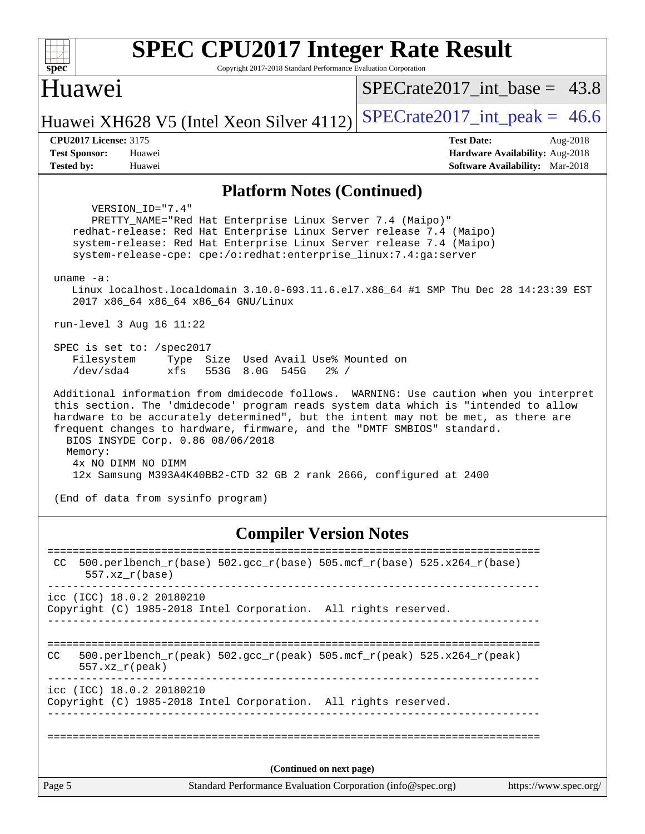| <b>SPEC CPU2017 Integer Rate Result</b><br>Copyright 2017-2018 Standard Performance Evaluation Corporation<br>spec <sup>®</sup>                                                                                                                                                                                                                                                                                                                                                                                                                                                                                                                                                                                                                                                                                                                                                                                                                                                                                                                                                                                                                              |                                                                                                            |  |  |  |  |
|--------------------------------------------------------------------------------------------------------------------------------------------------------------------------------------------------------------------------------------------------------------------------------------------------------------------------------------------------------------------------------------------------------------------------------------------------------------------------------------------------------------------------------------------------------------------------------------------------------------------------------------------------------------------------------------------------------------------------------------------------------------------------------------------------------------------------------------------------------------------------------------------------------------------------------------------------------------------------------------------------------------------------------------------------------------------------------------------------------------------------------------------------------------|------------------------------------------------------------------------------------------------------------|--|--|--|--|
| Huawei                                                                                                                                                                                                                                                                                                                                                                                                                                                                                                                                                                                                                                                                                                                                                                                                                                                                                                                                                                                                                                                                                                                                                       | $SPECrate2017$ int base = 43.8                                                                             |  |  |  |  |
| Huawei XH628 V5 (Intel Xeon Silver 4112)                                                                                                                                                                                                                                                                                                                                                                                                                                                                                                                                                                                                                                                                                                                                                                                                                                                                                                                                                                                                                                                                                                                     | $SPECTate2017\_int\_peak = 46.6$                                                                           |  |  |  |  |
| <b>CPU2017 License: 3175</b><br><b>Test Sponsor:</b><br>Huawei<br><b>Tested by:</b><br>Huawei                                                                                                                                                                                                                                                                                                                                                                                                                                                                                                                                                                                                                                                                                                                                                                                                                                                                                                                                                                                                                                                                | <b>Test Date:</b><br>Aug-2018<br>Hardware Availability: Aug-2018<br><b>Software Availability:</b> Mar-2018 |  |  |  |  |
| <b>Platform Notes (Continued)</b>                                                                                                                                                                                                                                                                                                                                                                                                                                                                                                                                                                                                                                                                                                                                                                                                                                                                                                                                                                                                                                                                                                                            |                                                                                                            |  |  |  |  |
| VERSION ID="7.4"<br>PRETTY_NAME="Red Hat Enterprise Linux Server 7.4 (Maipo)"<br>redhat-release: Red Hat Enterprise Linux Server release 7.4 (Maipo)<br>system-release: Red Hat Enterprise Linux Server release 7.4 (Maipo)<br>system-release-cpe: cpe:/o:redhat:enterprise_linux:7.4:ga:server<br>uname $-a$ :<br>Linux localhost.localdomain 3.10.0-693.11.6.el7.x86_64 #1 SMP Thu Dec 28 14:23:39 EST<br>2017 x86_64 x86_64 x86_64 GNU/Linux<br>run-level 3 Aug 16 11:22<br>SPEC is set to: /spec2017<br>Filesystem<br>Type Size Used Avail Use% Mounted on<br>/dev/sda4<br>xfs<br>553G 8.0G 545G<br>$2\frac{8}{1}$ /<br>Additional information from dmidecode follows. WARNING: Use caution when you interpret<br>this section. The 'dmidecode' program reads system data which is "intended to allow<br>hardware to be accurately determined", but the intent may not be met, as there are<br>frequent changes to hardware, firmware, and the "DMTF SMBIOS" standard.<br>BIOS INSYDE Corp. 0.86 08/06/2018<br>Memory:<br>4x NO DIMM NO DIMM<br>12x Samsung M393A4K40BB2-CTD 32 GB 2 rank 2666, configured at 2400<br>(End of data from sysinfo program) |                                                                                                            |  |  |  |  |
| <b>Compiler Version Notes</b>                                                                                                                                                                                                                                                                                                                                                                                                                                                                                                                                                                                                                                                                                                                                                                                                                                                                                                                                                                                                                                                                                                                                |                                                                                                            |  |  |  |  |
| $500.perlbench_r(base) 502.gcc_r(base) 505.mcf_r(base) 525.x264_r(base)$<br>CC.<br>$557. xz_r(base)$                                                                                                                                                                                                                                                                                                                                                                                                                                                                                                                                                                                                                                                                                                                                                                                                                                                                                                                                                                                                                                                         | ======================                                                                                     |  |  |  |  |
| icc (ICC) 18.0.2 20180210<br>Copyright (C) 1985-2018 Intel Corporation. All rights reserved.<br>_________________________________                                                                                                                                                                                                                                                                                                                                                                                                                                                                                                                                                                                                                                                                                                                                                                                                                                                                                                                                                                                                                            |                                                                                                            |  |  |  |  |
| $500.perlbench_r(peak)$ $502.gcc_r(peak)$ $505.mef_r(peak)$ $525. x264_r(peak)$<br>CC<br>$557. xz_r (peak)$<br>------------------------------------                                                                                                                                                                                                                                                                                                                                                                                                                                                                                                                                                                                                                                                                                                                                                                                                                                                                                                                                                                                                          |                                                                                                            |  |  |  |  |
| icc (ICC) 18.0.2 20180210<br>Copyright (C) 1985-2018 Intel Corporation. All rights reserved.                                                                                                                                                                                                                                                                                                                                                                                                                                                                                                                                                                                                                                                                                                                                                                                                                                                                                                                                                                                                                                                                 |                                                                                                            |  |  |  |  |
|                                                                                                                                                                                                                                                                                                                                                                                                                                                                                                                                                                                                                                                                                                                                                                                                                                                                                                                                                                                                                                                                                                                                                              |                                                                                                            |  |  |  |  |
| (Continued on next page)<br>Page 5<br>Standard Performance Evaluation Corporation (info@spec.org)                                                                                                                                                                                                                                                                                                                                                                                                                                                                                                                                                                                                                                                                                                                                                                                                                                                                                                                                                                                                                                                            | https://www.spec.org/                                                                                      |  |  |  |  |
|                                                                                                                                                                                                                                                                                                                                                                                                                                                                                                                                                                                                                                                                                                                                                                                                                                                                                                                                                                                                                                                                                                                                                              |                                                                                                            |  |  |  |  |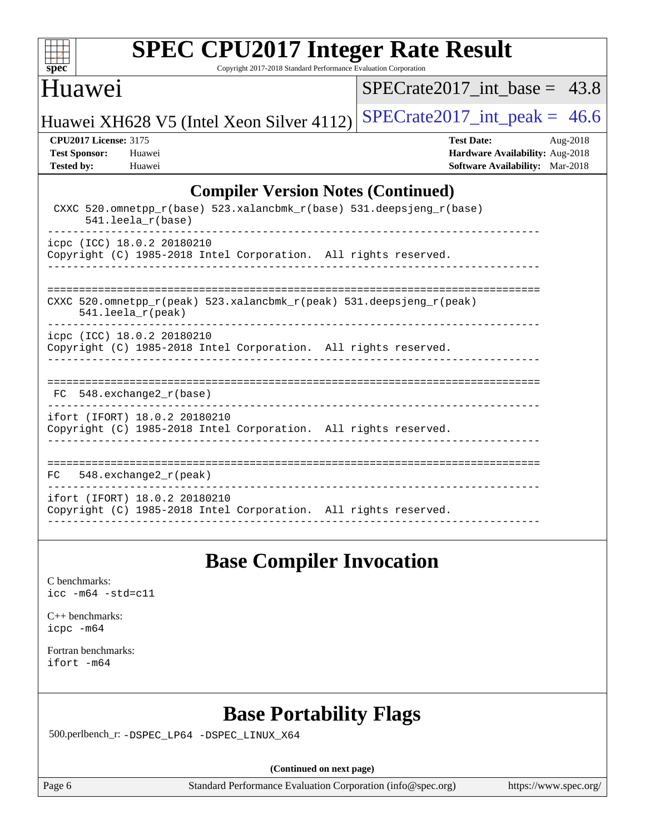

Copyright 2017-2018 Standard Performance Evaluation Corporation

## Huawei

SPECrate2017 int\_base =  $43.8$ 

Huawei XH628 V5 (Intel Xeon Silver 4112) SPECrate  $2017$ \_int\_peak = 46.6

**[CPU2017 License:](http://www.spec.org/auto/cpu2017/Docs/result-fields.html#CPU2017License)** 3175 **[Test Date:](http://www.spec.org/auto/cpu2017/Docs/result-fields.html#TestDate)** Aug-2018 **[Test Sponsor:](http://www.spec.org/auto/cpu2017/Docs/result-fields.html#TestSponsor)** Huawei **[Hardware Availability:](http://www.spec.org/auto/cpu2017/Docs/result-fields.html#HardwareAvailability)** Aug-2018 **[Tested by:](http://www.spec.org/auto/cpu2017/Docs/result-fields.html#Testedby)** Huawei **[Software Availability:](http://www.spec.org/auto/cpu2017/Docs/result-fields.html#SoftwareAvailability)** Mar-2018

### **[Compiler Version Notes \(Continued\)](http://www.spec.org/auto/cpu2017/Docs/result-fields.html#CompilerVersionNotes)**

| CXXC 520.omnetpp_r(base) 523.xalancbmk_r(base) 531.deepsjeng_r(base)<br>$541.$ leela $r(base)$   |
|--------------------------------------------------------------------------------------------------|
| icpc (ICC) 18.0.2 20180210<br>Copyright (C) 1985-2018 Intel Corporation. All rights reserved.    |
| CXXC 520.omnetpp_r(peak) 523.xalancbmk_r(peak) 531.deepsjeng_r(peak)<br>$541.$ leela $r$ (peak)  |
| icpc (ICC) 18.0.2 20180210<br>Copyright (C) 1985-2018 Intel Corporation. All rights reserved.    |
| $FC$ 548. exchange 2 $r(base)$                                                                   |
| ifort (IFORT) 18.0.2 20180210<br>Copyright (C) 1985-2018 Intel Corporation. All rights reserved. |
| 548.exchange2 $r(\text{peak})$<br>FC.                                                            |
| ifort (IFORT) 18.0.2 20180210<br>Copyright (C) 1985-2018 Intel Corporation. All rights reserved. |

## **[Base Compiler Invocation](http://www.spec.org/auto/cpu2017/Docs/result-fields.html#BaseCompilerInvocation)**

[C benchmarks](http://www.spec.org/auto/cpu2017/Docs/result-fields.html#Cbenchmarks): [icc -m64 -std=c11](http://www.spec.org/cpu2017/results/res2018q4/cpu2017-20181008-09112.flags.html#user_CCbase_intel_icc_64bit_c11_33ee0cdaae7deeeab2a9725423ba97205ce30f63b9926c2519791662299b76a0318f32ddfffdc46587804de3178b4f9328c46fa7c2b0cd779d7a61945c91cd35)

|           | $C_{++}$ benchmarks: |
|-----------|----------------------|
| icpc -m64 |                      |

[Fortran benchmarks](http://www.spec.org/auto/cpu2017/Docs/result-fields.html#Fortranbenchmarks): [ifort -m64](http://www.spec.org/cpu2017/results/res2018q4/cpu2017-20181008-09112.flags.html#user_FCbase_intel_ifort_64bit_24f2bb282fbaeffd6157abe4f878425411749daecae9a33200eee2bee2fe76f3b89351d69a8130dd5949958ce389cf37ff59a95e7a40d588e8d3a57e0c3fd751)

# **[Base Portability Flags](http://www.spec.org/auto/cpu2017/Docs/result-fields.html#BasePortabilityFlags)**

500.perlbench\_r: [-DSPEC\\_LP64](http://www.spec.org/cpu2017/results/res2018q4/cpu2017-20181008-09112.flags.html#b500.perlbench_r_basePORTABILITY_DSPEC_LP64) [-DSPEC\\_LINUX\\_X64](http://www.spec.org/cpu2017/results/res2018q4/cpu2017-20181008-09112.flags.html#b500.perlbench_r_baseCPORTABILITY_DSPEC_LINUX_X64)

**(Continued on next page)**

Page 6 Standard Performance Evaluation Corporation [\(info@spec.org\)](mailto:info@spec.org) <https://www.spec.org/>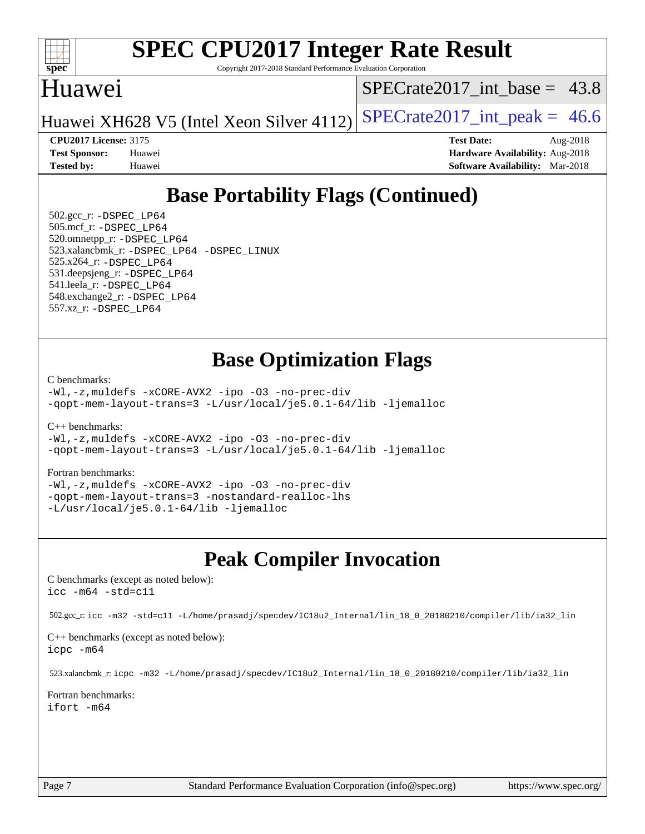

Copyright 2017-2018 Standard Performance Evaluation Corporation

## Huawei

SPECrate2017 int\_base =  $43.8$ 

Huawei XH628 V5 (Intel Xeon Silver 4112) SPECrate  $2017$ \_int\_peak = 46.6

**[CPU2017 License:](http://www.spec.org/auto/cpu2017/Docs/result-fields.html#CPU2017License)** 3175 **[Test Date:](http://www.spec.org/auto/cpu2017/Docs/result-fields.html#TestDate)** Aug-2018 **[Test Sponsor:](http://www.spec.org/auto/cpu2017/Docs/result-fields.html#TestSponsor)** Huawei **[Hardware Availability:](http://www.spec.org/auto/cpu2017/Docs/result-fields.html#HardwareAvailability)** Aug-2018 **[Tested by:](http://www.spec.org/auto/cpu2017/Docs/result-fields.html#Testedby)** Huawei **[Software Availability:](http://www.spec.org/auto/cpu2017/Docs/result-fields.html#SoftwareAvailability)** Mar-2018

# **[Base Portability Flags \(Continued\)](http://www.spec.org/auto/cpu2017/Docs/result-fields.html#BasePortabilityFlags)**

 502.gcc\_r: [-DSPEC\\_LP64](http://www.spec.org/cpu2017/results/res2018q4/cpu2017-20181008-09112.flags.html#suite_basePORTABILITY502_gcc_r_DSPEC_LP64) 505.mcf\_r: [-DSPEC\\_LP64](http://www.spec.org/cpu2017/results/res2018q4/cpu2017-20181008-09112.flags.html#suite_basePORTABILITY505_mcf_r_DSPEC_LP64) 520.omnetpp\_r: [-DSPEC\\_LP64](http://www.spec.org/cpu2017/results/res2018q4/cpu2017-20181008-09112.flags.html#suite_basePORTABILITY520_omnetpp_r_DSPEC_LP64) 523.xalancbmk\_r: [-DSPEC\\_LP64](http://www.spec.org/cpu2017/results/res2018q4/cpu2017-20181008-09112.flags.html#suite_basePORTABILITY523_xalancbmk_r_DSPEC_LP64) [-DSPEC\\_LINUX](http://www.spec.org/cpu2017/results/res2018q4/cpu2017-20181008-09112.flags.html#b523.xalancbmk_r_baseCXXPORTABILITY_DSPEC_LINUX) 525.x264\_r: [-DSPEC\\_LP64](http://www.spec.org/cpu2017/results/res2018q4/cpu2017-20181008-09112.flags.html#suite_basePORTABILITY525_x264_r_DSPEC_LP64) 531.deepsjeng\_r: [-DSPEC\\_LP64](http://www.spec.org/cpu2017/results/res2018q4/cpu2017-20181008-09112.flags.html#suite_basePORTABILITY531_deepsjeng_r_DSPEC_LP64) 541.leela\_r: [-DSPEC\\_LP64](http://www.spec.org/cpu2017/results/res2018q4/cpu2017-20181008-09112.flags.html#suite_basePORTABILITY541_leela_r_DSPEC_LP64) 548.exchange2\_r: [-DSPEC\\_LP64](http://www.spec.org/cpu2017/results/res2018q4/cpu2017-20181008-09112.flags.html#suite_basePORTABILITY548_exchange2_r_DSPEC_LP64) 557.xz\_r: [-DSPEC\\_LP64](http://www.spec.org/cpu2017/results/res2018q4/cpu2017-20181008-09112.flags.html#suite_basePORTABILITY557_xz_r_DSPEC_LP64)

# **[Base Optimization Flags](http://www.spec.org/auto/cpu2017/Docs/result-fields.html#BaseOptimizationFlags)**

[C benchmarks](http://www.spec.org/auto/cpu2017/Docs/result-fields.html#Cbenchmarks):

[-Wl,-z,muldefs](http://www.spec.org/cpu2017/results/res2018q4/cpu2017-20181008-09112.flags.html#user_CCbase_link_force_multiple1_b4cbdb97b34bdee9ceefcfe54f4c8ea74255f0b02a4b23e853cdb0e18eb4525ac79b5a88067c842dd0ee6996c24547a27a4b99331201badda8798ef8a743f577) [-xCORE-AVX2](http://www.spec.org/cpu2017/results/res2018q4/cpu2017-20181008-09112.flags.html#user_CCbase_f-xCORE-AVX2) [-ipo](http://www.spec.org/cpu2017/results/res2018q4/cpu2017-20181008-09112.flags.html#user_CCbase_f-ipo) [-O3](http://www.spec.org/cpu2017/results/res2018q4/cpu2017-20181008-09112.flags.html#user_CCbase_f-O3) [-no-prec-div](http://www.spec.org/cpu2017/results/res2018q4/cpu2017-20181008-09112.flags.html#user_CCbase_f-no-prec-div) [-qopt-mem-layout-trans=3](http://www.spec.org/cpu2017/results/res2018q4/cpu2017-20181008-09112.flags.html#user_CCbase_f-qopt-mem-layout-trans_de80db37974c74b1f0e20d883f0b675c88c3b01e9d123adea9b28688d64333345fb62bc4a798493513fdb68f60282f9a726aa07f478b2f7113531aecce732043) [-L/usr/local/je5.0.1-64/lib](http://www.spec.org/cpu2017/results/res2018q4/cpu2017-20181008-09112.flags.html#user_CCbase_jemalloc_link_path64_4b10a636b7bce113509b17f3bd0d6226c5fb2346b9178c2d0232c14f04ab830f976640479e5c33dc2bcbbdad86ecfb6634cbbd4418746f06f368b512fced5394) [-ljemalloc](http://www.spec.org/cpu2017/results/res2018q4/cpu2017-20181008-09112.flags.html#user_CCbase_jemalloc_link_lib_d1249b907c500fa1c0672f44f562e3d0f79738ae9e3c4a9c376d49f265a04b9c99b167ecedbf6711b3085be911c67ff61f150a17b3472be731631ba4d0471706)

[C++ benchmarks:](http://www.spec.org/auto/cpu2017/Docs/result-fields.html#CXXbenchmarks)

[-Wl,-z,muldefs](http://www.spec.org/cpu2017/results/res2018q4/cpu2017-20181008-09112.flags.html#user_CXXbase_link_force_multiple1_b4cbdb97b34bdee9ceefcfe54f4c8ea74255f0b02a4b23e853cdb0e18eb4525ac79b5a88067c842dd0ee6996c24547a27a4b99331201badda8798ef8a743f577) [-xCORE-AVX2](http://www.spec.org/cpu2017/results/res2018q4/cpu2017-20181008-09112.flags.html#user_CXXbase_f-xCORE-AVX2) [-ipo](http://www.spec.org/cpu2017/results/res2018q4/cpu2017-20181008-09112.flags.html#user_CXXbase_f-ipo) [-O3](http://www.spec.org/cpu2017/results/res2018q4/cpu2017-20181008-09112.flags.html#user_CXXbase_f-O3) [-no-prec-div](http://www.spec.org/cpu2017/results/res2018q4/cpu2017-20181008-09112.flags.html#user_CXXbase_f-no-prec-div) [-qopt-mem-layout-trans=3](http://www.spec.org/cpu2017/results/res2018q4/cpu2017-20181008-09112.flags.html#user_CXXbase_f-qopt-mem-layout-trans_de80db37974c74b1f0e20d883f0b675c88c3b01e9d123adea9b28688d64333345fb62bc4a798493513fdb68f60282f9a726aa07f478b2f7113531aecce732043) [-L/usr/local/je5.0.1-64/lib](http://www.spec.org/cpu2017/results/res2018q4/cpu2017-20181008-09112.flags.html#user_CXXbase_jemalloc_link_path64_4b10a636b7bce113509b17f3bd0d6226c5fb2346b9178c2d0232c14f04ab830f976640479e5c33dc2bcbbdad86ecfb6634cbbd4418746f06f368b512fced5394) [-ljemalloc](http://www.spec.org/cpu2017/results/res2018q4/cpu2017-20181008-09112.flags.html#user_CXXbase_jemalloc_link_lib_d1249b907c500fa1c0672f44f562e3d0f79738ae9e3c4a9c376d49f265a04b9c99b167ecedbf6711b3085be911c67ff61f150a17b3472be731631ba4d0471706)

#### [Fortran benchmarks](http://www.spec.org/auto/cpu2017/Docs/result-fields.html#Fortranbenchmarks):

[-Wl,-z,muldefs](http://www.spec.org/cpu2017/results/res2018q4/cpu2017-20181008-09112.flags.html#user_FCbase_link_force_multiple1_b4cbdb97b34bdee9ceefcfe54f4c8ea74255f0b02a4b23e853cdb0e18eb4525ac79b5a88067c842dd0ee6996c24547a27a4b99331201badda8798ef8a743f577) [-xCORE-AVX2](http://www.spec.org/cpu2017/results/res2018q4/cpu2017-20181008-09112.flags.html#user_FCbase_f-xCORE-AVX2) [-ipo](http://www.spec.org/cpu2017/results/res2018q4/cpu2017-20181008-09112.flags.html#user_FCbase_f-ipo) [-O3](http://www.spec.org/cpu2017/results/res2018q4/cpu2017-20181008-09112.flags.html#user_FCbase_f-O3) [-no-prec-div](http://www.spec.org/cpu2017/results/res2018q4/cpu2017-20181008-09112.flags.html#user_FCbase_f-no-prec-div) [-qopt-mem-layout-trans=3](http://www.spec.org/cpu2017/results/res2018q4/cpu2017-20181008-09112.flags.html#user_FCbase_f-qopt-mem-layout-trans_de80db37974c74b1f0e20d883f0b675c88c3b01e9d123adea9b28688d64333345fb62bc4a798493513fdb68f60282f9a726aa07f478b2f7113531aecce732043) [-nostandard-realloc-lhs](http://www.spec.org/cpu2017/results/res2018q4/cpu2017-20181008-09112.flags.html#user_FCbase_f_2003_std_realloc_82b4557e90729c0f113870c07e44d33d6f5a304b4f63d4c15d2d0f1fab99f5daaed73bdb9275d9ae411527f28b936061aa8b9c8f2d63842963b95c9dd6426b8a) [-L/usr/local/je5.0.1-64/lib](http://www.spec.org/cpu2017/results/res2018q4/cpu2017-20181008-09112.flags.html#user_FCbase_jemalloc_link_path64_4b10a636b7bce113509b17f3bd0d6226c5fb2346b9178c2d0232c14f04ab830f976640479e5c33dc2bcbbdad86ecfb6634cbbd4418746f06f368b512fced5394) [-ljemalloc](http://www.spec.org/cpu2017/results/res2018q4/cpu2017-20181008-09112.flags.html#user_FCbase_jemalloc_link_lib_d1249b907c500fa1c0672f44f562e3d0f79738ae9e3c4a9c376d49f265a04b9c99b167ecedbf6711b3085be911c67ff61f150a17b3472be731631ba4d0471706)

# **[Peak Compiler Invocation](http://www.spec.org/auto/cpu2017/Docs/result-fields.html#PeakCompilerInvocation)**

[C benchmarks \(except as noted below\)](http://www.spec.org/auto/cpu2017/Docs/result-fields.html#Cbenchmarksexceptasnotedbelow): [icc -m64 -std=c11](http://www.spec.org/cpu2017/results/res2018q4/cpu2017-20181008-09112.flags.html#user_CCpeak_intel_icc_64bit_c11_33ee0cdaae7deeeab2a9725423ba97205ce30f63b9926c2519791662299b76a0318f32ddfffdc46587804de3178b4f9328c46fa7c2b0cd779d7a61945c91cd35)

502.gcc\_r: [icc -m32 -std=c11 -L/home/prasadj/specdev/IC18u2\\_Internal/lin\\_18\\_0\\_20180210/compiler/lib/ia32\\_lin](http://www.spec.org/cpu2017/results/res2018q4/cpu2017-20181008-09112.flags.html#user_peakCCLD502_gcc_r_intel_icc_a481ac844e7127046fad14d498c730a1848fa901fbbb2c3dfdd5e9fbbac777c8009953946d55d8b6afe8ed0da70dd2b4f8dedbdf7ab1ee211ba70d24a5d89f85)

[C++ benchmarks \(except as noted below\):](http://www.spec.org/auto/cpu2017/Docs/result-fields.html#CXXbenchmarksexceptasnotedbelow) [icpc -m64](http://www.spec.org/cpu2017/results/res2018q4/cpu2017-20181008-09112.flags.html#user_CXXpeak_intel_icpc_64bit_4ecb2543ae3f1412ef961e0650ca070fec7b7afdcd6ed48761b84423119d1bf6bdf5cad15b44d48e7256388bc77273b966e5eb805aefd121eb22e9299b2ec9d9)

523.xalancbmk\_r: [icpc -m32 -L/home/prasadj/specdev/IC18u2\\_Internal/lin\\_18\\_0\\_20180210/compiler/lib/ia32\\_lin](http://www.spec.org/cpu2017/results/res2018q4/cpu2017-20181008-09112.flags.html#user_peakCXXLD523_xalancbmk_r_intel_icpc_c6d030cd79af6ea7d6fb64c57e8fe7ae8fe0b96fc5a3b3f4a10e3273b3d7fa9decd8263f6330cef23f751cb093a69fae84a2bf4c243500a8eed069248128076f)

[Fortran benchmarks](http://www.spec.org/auto/cpu2017/Docs/result-fields.html#Fortranbenchmarks): [ifort -m64](http://www.spec.org/cpu2017/results/res2018q4/cpu2017-20181008-09112.flags.html#user_FCpeak_intel_ifort_64bit_24f2bb282fbaeffd6157abe4f878425411749daecae9a33200eee2bee2fe76f3b89351d69a8130dd5949958ce389cf37ff59a95e7a40d588e8d3a57e0c3fd751)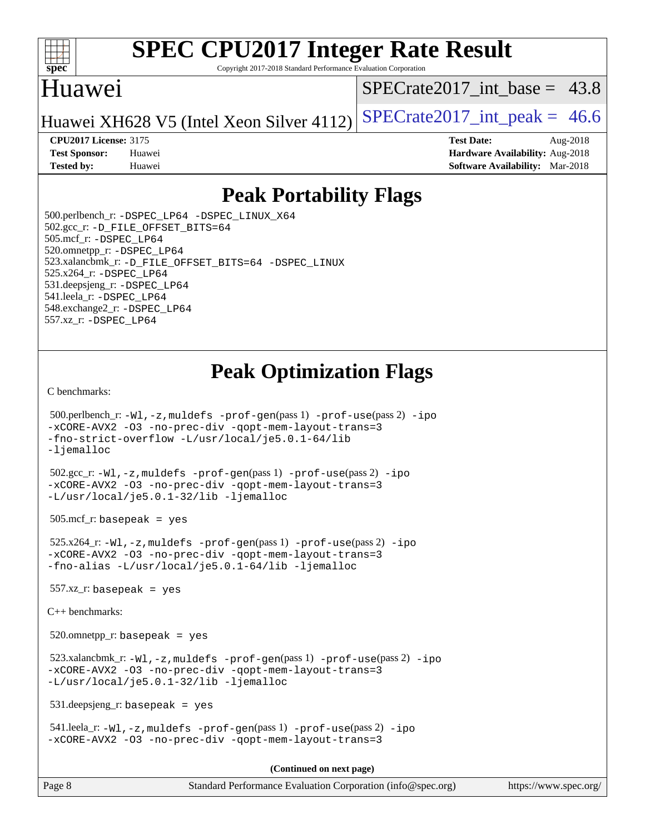

Copyright 2017-2018 Standard Performance Evaluation Corporation

# Huawei

SPECrate2017 int\_base =  $43.8$ 

Huawei XH628 V5 (Intel Xeon Silver 4112) SPECrate  $2017$ \_int\_peak = 46.6

**[CPU2017 License:](http://www.spec.org/auto/cpu2017/Docs/result-fields.html#CPU2017License)** 3175 **[Test Date:](http://www.spec.org/auto/cpu2017/Docs/result-fields.html#TestDate)** Aug-2018

**[Test Sponsor:](http://www.spec.org/auto/cpu2017/Docs/result-fields.html#TestSponsor)** Huawei **[Hardware Availability:](http://www.spec.org/auto/cpu2017/Docs/result-fields.html#HardwareAvailability)** Aug-2018 **[Tested by:](http://www.spec.org/auto/cpu2017/Docs/result-fields.html#Testedby)** Huawei **[Software Availability:](http://www.spec.org/auto/cpu2017/Docs/result-fields.html#SoftwareAvailability)** Mar-2018

# **[Peak Portability Flags](http://www.spec.org/auto/cpu2017/Docs/result-fields.html#PeakPortabilityFlags)**

 500.perlbench\_r: [-DSPEC\\_LP64](http://www.spec.org/cpu2017/results/res2018q4/cpu2017-20181008-09112.flags.html#b500.perlbench_r_peakPORTABILITY_DSPEC_LP64) [-DSPEC\\_LINUX\\_X64](http://www.spec.org/cpu2017/results/res2018q4/cpu2017-20181008-09112.flags.html#b500.perlbench_r_peakCPORTABILITY_DSPEC_LINUX_X64) 502.gcc\_r: [-D\\_FILE\\_OFFSET\\_BITS=64](http://www.spec.org/cpu2017/results/res2018q4/cpu2017-20181008-09112.flags.html#user_peakPORTABILITY502_gcc_r_file_offset_bits_64_5ae949a99b284ddf4e95728d47cb0843d81b2eb0e18bdfe74bbf0f61d0b064f4bda2f10ea5eb90e1dcab0e84dbc592acfc5018bc955c18609f94ddb8d550002c) 505.mcf\_r: [-DSPEC\\_LP64](http://www.spec.org/cpu2017/results/res2018q4/cpu2017-20181008-09112.flags.html#suite_peakPORTABILITY505_mcf_r_DSPEC_LP64) 520.omnetpp\_r: [-DSPEC\\_LP64](http://www.spec.org/cpu2017/results/res2018q4/cpu2017-20181008-09112.flags.html#suite_peakPORTABILITY520_omnetpp_r_DSPEC_LP64) 523.xalancbmk\_r: [-D\\_FILE\\_OFFSET\\_BITS=64](http://www.spec.org/cpu2017/results/res2018q4/cpu2017-20181008-09112.flags.html#user_peakPORTABILITY523_xalancbmk_r_file_offset_bits_64_5ae949a99b284ddf4e95728d47cb0843d81b2eb0e18bdfe74bbf0f61d0b064f4bda2f10ea5eb90e1dcab0e84dbc592acfc5018bc955c18609f94ddb8d550002c) [-DSPEC\\_LINUX](http://www.spec.org/cpu2017/results/res2018q4/cpu2017-20181008-09112.flags.html#b523.xalancbmk_r_peakCXXPORTABILITY_DSPEC_LINUX) 525.x264\_r: [-DSPEC\\_LP64](http://www.spec.org/cpu2017/results/res2018q4/cpu2017-20181008-09112.flags.html#suite_peakPORTABILITY525_x264_r_DSPEC_LP64) 531.deepsjeng\_r: [-DSPEC\\_LP64](http://www.spec.org/cpu2017/results/res2018q4/cpu2017-20181008-09112.flags.html#suite_peakPORTABILITY531_deepsjeng_r_DSPEC_LP64) 541.leela\_r: [-DSPEC\\_LP64](http://www.spec.org/cpu2017/results/res2018q4/cpu2017-20181008-09112.flags.html#suite_peakPORTABILITY541_leela_r_DSPEC_LP64) 548.exchange2\_r: [-DSPEC\\_LP64](http://www.spec.org/cpu2017/results/res2018q4/cpu2017-20181008-09112.flags.html#suite_peakPORTABILITY548_exchange2_r_DSPEC_LP64) 557.xz\_r: [-DSPEC\\_LP64](http://www.spec.org/cpu2017/results/res2018q4/cpu2017-20181008-09112.flags.html#suite_peakPORTABILITY557_xz_r_DSPEC_LP64)

# **[Peak Optimization Flags](http://www.spec.org/auto/cpu2017/Docs/result-fields.html#PeakOptimizationFlags)**

[C benchmarks](http://www.spec.org/auto/cpu2017/Docs/result-fields.html#Cbenchmarks):

```
 500.perlbench_r: -Wl,-z,muldefs -prof-gen(pass 1) -prof-use(pass 2) -ipo
-xCORE-AVX2 -O3 -no-prec-div -qopt-mem-layout-trans=3
-fno-strict-overflow -L/usr/local/je5.0.1-64/lib
-ljemalloc
 502.gcc_r: -Wl,-z,muldefs -prof-gen(pass 1) -prof-use(pass 2) -ipo
-xCORE-AVX2 -O3 -no-prec-div -qopt-mem-layout-trans=3
-L/usr/local/je5.0.1-32/lib -ljemalloc
505.\text{mcf}_r: basepeak = yes
 525.x264_r: -Wl,-z,muldefs -prof-gen(pass 1) -prof-use(pass 2) -ipo
-xCORE-AVX2 -O3 -no-prec-div -qopt-mem-layout-trans=3
-fno-alias -L/usr/local/je5.0.1-64/lib -ljemalloc
557.xz r: basepeak = yes
C++ benchmarks: 
 520.omnetpp_r: basepeak = yes
 523.xalancbmk_r: -Wl,-z,muldefs -prof-gen(pass 1) -prof-use(pass 2) -ipo
-xCORE-AVX2 -O3 -no-prec-div -qopt-mem-layout-trans=3
-L/usr/local/je5.0.1-32/lib -ljemalloc
 531.deepsjeng_r: basepeak = yes
 541.leela_r: -Wl,-z,muldefs -prof-gen(pass 1) -prof-use(pass 2) -ipo
-xCORE-AVX2 -O3 -no-prec-div -qopt-mem-layout-trans=3
                                       (Continued on next page)
```